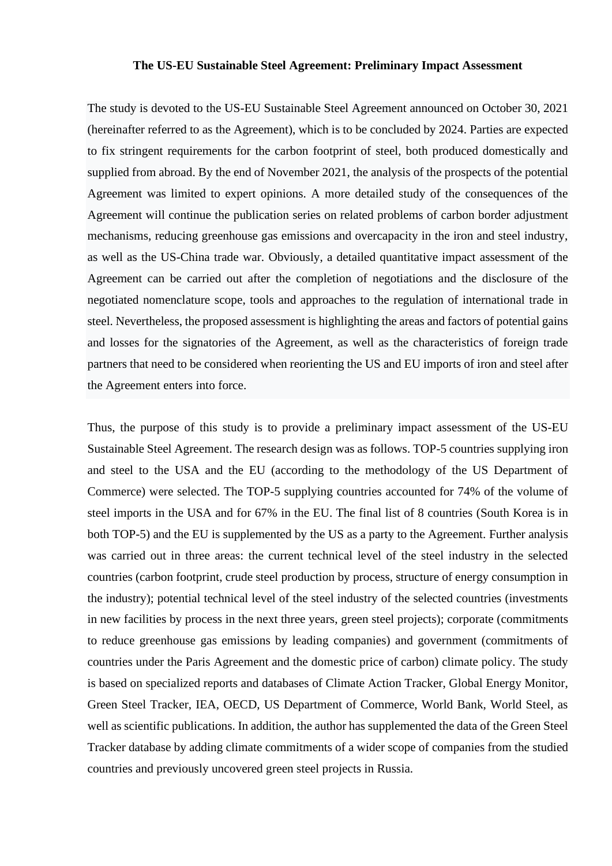## **The US-EU Sustainable Steel Agreement: Preliminary Impact Assessment**

The study is devoted to the US-EU Sustainable Steel Agreement announced on October 30, 2021 (hereinafter referred to as the Agreement), which is to be concluded by 2024. Parties are expected to fix stringent requirements for the carbon footprint of steel, both produced domestically and supplied from abroad. By the end of November 2021, the analysis of the prospects of the potential Agreement was limited to expert opinions. A more detailed study of the consequences of the Agreement will continue the publication series on related problems of carbon border adjustment mechanisms, reducing greenhouse gas emissions and overcapacity in the iron and steel industry, as well as the US-China trade war. Obviously, a detailed quantitative impact assessment of the Agreement can be carried out after the completion of negotiations and the disclosure of the negotiated nomenclature scope, tools and approaches to the regulation of international trade in steel. Nevertheless, the proposed assessment is highlighting the areas and factors of potential gains and losses for the signatories of the Agreement, as well as the characteristics of foreign trade partners that need to be considered when reorienting the US and EU imports of iron and steel after the Agreement enters into force.

Thus, the purpose of this study is to provide a preliminary impact assessment of the US-EU Sustainable Steel Agreement. The research design was as follows. TOP-5 countries supplying iron and steel to the USA and the EU (according to the methodology of the US Department of Commerce) were selected. The TOP-5 supplying countries accounted for 74% of the volume of steel imports in the USA and for 67% in the EU. The final list of 8 countries (South Korea is in both TOP-5) and the EU is supplemented by the US as a party to the Agreement. Further analysis was carried out in three areas: the current technical level of the steel industry in the selected countries (carbon footprint, crude steel production by process, structure of energy consumption in the industry); potential technical level of the steel industry of the selected countries (investments in new facilities by process in the next three years, green steel projects); corporate (commitments to reduce greenhouse gas emissions by leading companies) and government (commitments of countries under the Paris Agreement and the domestic price of carbon) climate policy. The study is based on specialized reports and databases of Climate Action Tracker, Global Energy Monitor, Green Steel Tracker, IEA, OECD, US Department of Commerce, World Bank, World Steel, as well as scientific publications. In addition, the author has supplemented the data of the Green Steel Tracker database by adding climate commitments of a wider scope of companies from the studied countries and previously uncovered green steel projects in Russia.